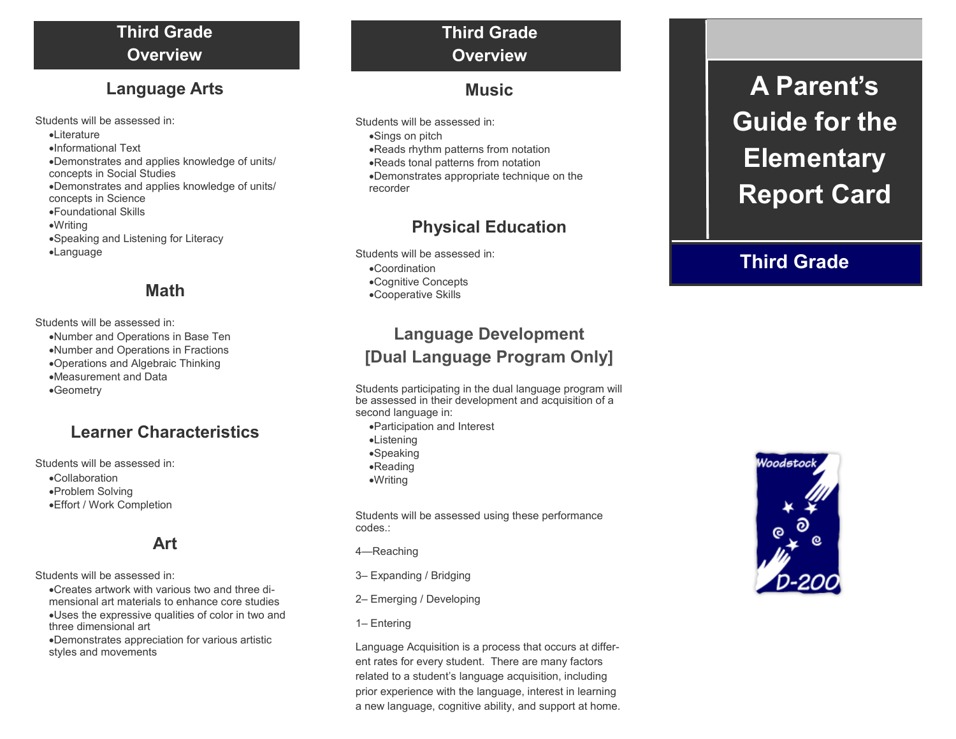## **Third Grade Overview**

## **Language Arts**

Students will be assessed in: **•Literature** Informational Text Demonstrates and applies knowledge of units/ concepts in Social Studies Demonstrates and applies knowledge of units/ concepts in Science Foundational Skills Writing Speaking and Listening for Literacy Language

## **Math**

Students will be assessed in:

- Number and Operations in Base Ten
- Number and Operations in Fractions
- Operations and Algebraic Thinking
- Measurement and Data
- Geometry

## **Learner Characteristics**

Students will be assessed in:

- Collaboration
- Problem Solving
- Effort / Work Completion

## **Art**

Students will be assessed in:

- Creates artwork with various two and three dimensional art materials to enhance core studies Uses the expressive qualities of color in two and three dimensional art
- Demonstrates appreciation for various artistic styles and movements

# **Third Grade Overview**

## **Music**

Students will be assessed in: Sings on pitch Reads rhythm patterns from notation Reads tonal patterns from notation Demonstrates appropriate technique on the recorder

## **Physical Education**

Students will be assessed in: Coordination Cognitive Concepts Cooperative Skills

## **Language Development [Dual Language Program Only]**

Students participating in the dual language program will be assessed in their development and acquisition of a second language in:

- Participation and Interest
- Listening
- Speaking
- Reading
- Writing

Students will be assessed using these performance codes.:

- 4—Reaching
- 3– Expanding / Bridging
- 2– Emerging / Developing
- 1– Entering

Language Acquisition is a process that occurs at different rates for every student. There are many factors related to a student's language acquisition, including prior experience with the language, interest in learning a new language, cognitive ability, and support at home.

# **A Parent's Guide for the Elementary Report Card**

# **Third Grade**